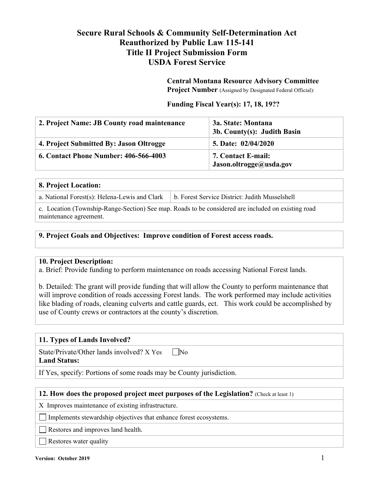# **Secure Rural Schools & Community Self-Determination Act Reauthorized by Public Law 115-141 Title II Project Submission Form USDA Forest Service**

**Central Montana Resource Advisory Committee Project Number** (Assigned by Designated Federal Official):

#### **Funding Fiscal Year(s): 17, 18, 19??**

| 2. Project Name: JB County road maintenance  | 3a. State: Montana<br>3b. County(s): Judith Basin |
|----------------------------------------------|---------------------------------------------------|
| 4. Project Submitted By: Jason Oltrogge      | 5. Date: 02/04/2020                               |
| <b>6. Contact Phone Number: 406-566-4003</b> | 7. Contact E-mail:<br>Jason.oltrogge@usda.gov     |

#### **8. Project Location:**

c. Location (Township-Range-Section) See map. Roads to be considered are included on existing road maintenance agreement.

#### **9. Project Goals and Objectives: Improve condition of Forest access roads.**

#### **10. Project Description:**

a. Brief: Provide funding to perform maintenance on roads accessing National Forest lands.

b. Detailed: The grant will provide funding that will allow the County to perform maintenance that will improve condition of roads accessing Forest lands. The work performed may include activities like blading of roads, cleaning culverts and cattle guards, ect. This work could be accomplished by use of County crews or contractors at the county's discretion.

#### **11. Types of Lands Involved?**

State/Private/Other lands involved?  $X$  Yes  $\n$  No **Land Status:**

If Yes, specify: Portions of some roads may be County jurisdiction.

#### **12. How does the proposed project meet purposes of the Legislation?** (Check at least 1)

X Improves maintenance of existing infrastructure.

Implements stewardship objectives that enhance forest ecosystems.

Restores and improves land health.

**Restores water quality**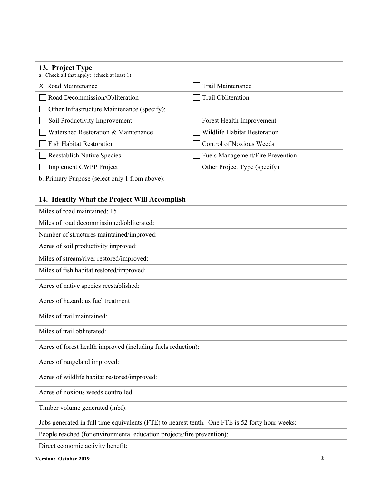| 13. Project Type<br>a. Check all that apply: (check at least 1) |                                     |
|-----------------------------------------------------------------|-------------------------------------|
| X Road Maintenance                                              | Trail Maintenance                   |
| Road Decommission/Obliteration                                  | Trail Obliteration                  |
| Other Infrastructure Maintenance (specify):                     |                                     |
| Soil Productivity Improvement                                   | Forest Health Improvement           |
| Watershed Restoration & Maintenance                             | <b>Wildlife Habitat Restoration</b> |
| <b>Fish Habitat Restoration</b>                                 | Control of Noxious Weeds            |
| <b>Reestablish Native Species</b>                               | Fuels Management/Fire Prevention    |
| Implement CWPP Project                                          | Other Project Type (specify):       |
| b. Primary Purpose (select only 1 from above):                  |                                     |

# **14. Identify What the Project Will Accomplish**

| Miles of road maintained: 15                                                                    |
|-------------------------------------------------------------------------------------------------|
| Miles of road decommissioned/obliterated:                                                       |
| Number of structures maintained/improved:                                                       |
| Acres of soil productivity improved:                                                            |
| Miles of stream/river restored/improved:                                                        |
| Miles of fish habitat restored/improved:                                                        |
| Acres of native species reestablished:                                                          |
| Acres of hazardous fuel treatment                                                               |
| Miles of trail maintained:                                                                      |
| Miles of trail obliterated:                                                                     |
| Acres of forest health improved (including fuels reduction):                                    |
| Acres of rangeland improved:                                                                    |
| Acres of wildlife habitat restored/improved:                                                    |
| Acres of noxious weeds controlled:                                                              |
| Timber volume generated (mbf):                                                                  |
| Jobs generated in full time equivalents (FTE) to nearest tenth. One FTE is 52 forty hour weeks: |
| People reached (for environmental education projects/fire prevention):                          |

Direct economic activity benefit: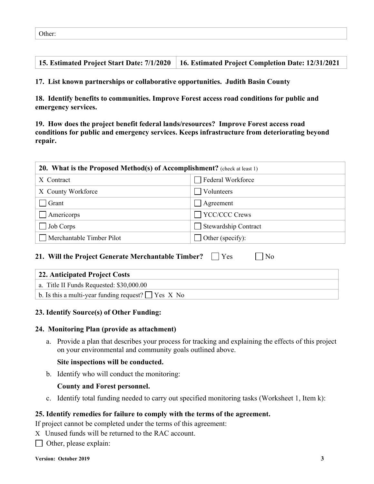**15. Estimated Project Start Date: 7/1/2020 16. Estimated Project Completion Date: 12/31/2021**

**17. List known partnerships or collaborative opportunities. Judith Basin County**

**18. Identify benefits to communities. Improve Forest access road conditions for public and emergency services.**

**19. How does the project benefit federal lands/resources? Improve Forest access road conditions for public and emergency services. Keeps infrastructure from deteriorating beyond repair.** 

| 20. What is the Proposed Method(s) of Accomplishment? (check at least 1) |                             |
|--------------------------------------------------------------------------|-----------------------------|
| X Contract                                                               | Federal Workforce           |
| X County Workforce                                                       | Volunteers                  |
| Grant                                                                    | Agreement                   |
| Americorps                                                               | $\Box$ YCC/CCC Crews        |
| Job Corps                                                                | <b>Stewardship Contract</b> |
| Merchantable Timber Pilot                                                | Other (specify):            |
|                                                                          |                             |

#### **21. Will the Project Generate Merchantable Timber?** Yes No

| 22. Anticipated Project Costs                            |
|----------------------------------------------------------|
| a. Title II Funds Requested: \$30,000.00                 |
| b. Is this a multi-year funding request? $\Box$ Yes X No |

### **23. Identify Source(s) of Other Funding:**

#### **24. Monitoring Plan (provide as attachment)**

a. Provide a plan that describes your process for tracking and explaining the effects of this project on your environmental and community goals outlined above.

#### **Site inspections will be conducted.**

b. Identify who will conduct the monitoring:

#### **County and Forest personnel.**

c. Identify total funding needed to carry out specified monitoring tasks (Worksheet 1, Item k):

#### **25. Identify remedies for failure to comply with the terms of the agreement.**

If project cannot be completed under the terms of this agreement:

- X Unused funds will be returned to the RAC account.
- $\Box$  Other, please explain: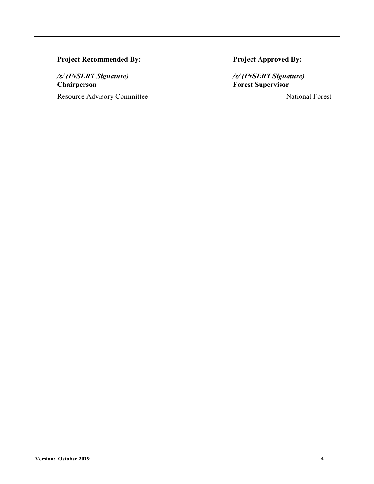# **Project Recommended By: Project Approved By:**

**Chairperson Forest Supervisor**

Resource Advisory Committee \_\_\_\_\_\_\_\_\_\_\_\_\_\_ National Forest

*/s/ (INSERT Signature) /s/ (INSERT Signature)*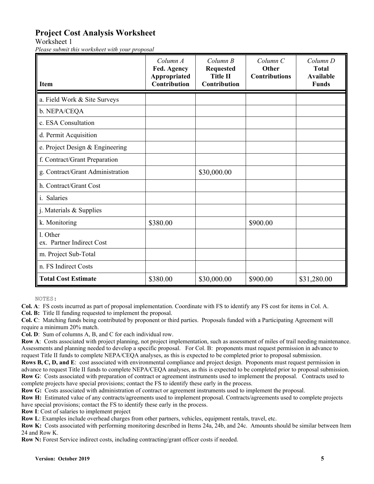# **Project Cost Analysis Worksheet**

Worksheet 1

*Please submit this worksheet with your proposal*

| <b>Item</b>                           | Column A<br>Fed. Agency<br>Appropriated<br>Contribution | Column B<br><b>Requested</b><br><b>Title II</b><br><b>Contribution</b> | Column <sub>C</sub><br>Other<br><b>Contributions</b> | Column D<br><b>Total</b><br><b>Available</b><br><b>Funds</b> |
|---------------------------------------|---------------------------------------------------------|------------------------------------------------------------------------|------------------------------------------------------|--------------------------------------------------------------|
| a. Field Work & Site Surveys          |                                                         |                                                                        |                                                      |                                                              |
| b. NEPA/CEQA                          |                                                         |                                                                        |                                                      |                                                              |
| c. ESA Consultation                   |                                                         |                                                                        |                                                      |                                                              |
| d. Permit Acquisition                 |                                                         |                                                                        |                                                      |                                                              |
| e. Project Design & Engineering       |                                                         |                                                                        |                                                      |                                                              |
| f. Contract/Grant Preparation         |                                                         |                                                                        |                                                      |                                                              |
| g. Contract/Grant Administration      |                                                         | \$30,000.00                                                            |                                                      |                                                              |
| h. Contract/Grant Cost                |                                                         |                                                                        |                                                      |                                                              |
| i. Salaries                           |                                                         |                                                                        |                                                      |                                                              |
| j. Materials & Supplies               |                                                         |                                                                        |                                                      |                                                              |
| k. Monitoring                         | \$380.00                                                |                                                                        | \$900.00                                             |                                                              |
| 1. Other<br>ex. Partner Indirect Cost |                                                         |                                                                        |                                                      |                                                              |
| m. Project Sub-Total                  |                                                         |                                                                        |                                                      |                                                              |
| n. FS Indirect Costs                  |                                                         |                                                                        |                                                      |                                                              |
| <b>Total Cost Estimate</b>            | \$380.00                                                | \$30,000.00                                                            | \$900.00                                             | \$31,280.00                                                  |

NOTES:

**Col. A**: FS costs incurred as part of proposal implementation. Coordinate with FS to identify any FS cost for items in Col. A.

**Col. B:** Title II funding requested to implement the proposal.

**Col. C**: Matching funds being contributed by proponent or third parties. Proposals funded with a Participating Agreement will require a minimum 20% match.

**Col. D**: Sum of columns A, B, and C for each individual row.

**Row A**: Costs associated with project planning, not project implementation, such as assessment of miles of trail needing maintenance. Assessments and planning needed to develop a specific proposal. For Col. B: proponents must request permission in advance to request Title II funds to complete NEPA/CEQA analyses, as this is expected to be completed prior to proposal submission.

**Rows B, C, D, and E**: cost associated with environmental compliance and project design. Proponents must request permission in advance to request Title II funds to complete NEPA/CEQA analyses, as this is expected to be completed prior to proposal submission. **Row G**: Costs associated with preparation of contract or agreement instruments used to implement the proposal. Contracts used to complete projects have special provisions; contact the FS to identify these early in the process.

**Row G:** Costs associated with administration of contract or agreement instruments used to implement the proposal.

**Row H:** Estimated value of any contracts/agreements used to implement proposal. Contracts/agreements used to complete projects have special provisions; contact the FS to identify these early in the process.

**Row I**: Cost of salaries to implement project

**Row L**: Examples include overhead charges from other partners, vehicles, equipment rentals, travel, etc.

**Row K:** Costs associated with performing monitoring described in Items 24a, 24b, and 24c. Amounts should be similar between Item 24 and Row K.

**Row N:** Forest Service indirect costs, including contracting/grant officer costs if needed.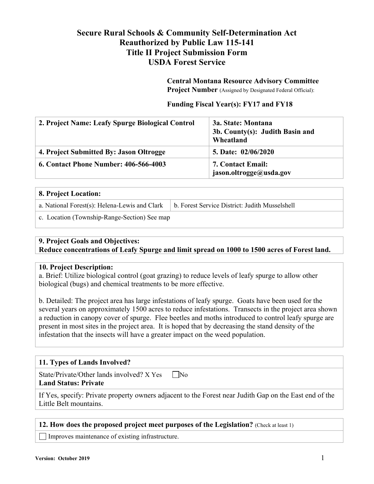# **Secure Rural Schools & Community Self-Determination Act Reauthorized by Public Law 115-141 Title II Project Submission Form USDA Forest Service**

#### **Central Montana Resource Advisory Committee Project Number** (Assigned by Designated Federal Official):

## **Funding Fiscal Year(s): FY17 and FY18**

| 2. Project Name: Leafy Spurge Biological Control | 3a. State: Montana<br>3b. County(s): Judith Basin and<br>Wheatland |
|--------------------------------------------------|--------------------------------------------------------------------|
| 4. Project Submitted By: Jason Oltrogge          | 5. Date: 02/06/2020                                                |
| <b>6. Contact Phone Number: 406-566-4003</b>     | <b>7. Contact Email:</b><br>jason.oltrogge@usda.gov                |

| 8. Project Location:                          |                                                |
|-----------------------------------------------|------------------------------------------------|
| a. National Forest(s): Helena-Lewis and Clark | b. Forest Service District: Judith Musselshell |
| c. Location (Township-Range-Section) See map  |                                                |

# **9. Project Goals and Objectives:**

**Reduce concentrations of Leafy Spurge and limit spread on 1000 to 1500 acres of Forest land.**

# **10. Project Description:**

a. Brief: Utilize biological control (goat grazing) to reduce levels of leafy spurge to allow other biological (bugs) and chemical treatments to be more effective.

b. Detailed: The project area has large infestations of leafy spurge. Goats have been used for the several years on approximately 1500 acres to reduce infestations. Transects in the project area shown a reduction in canopy cover of spurge. Flee beetles and moths introduced to control leafy spurge are present in most sites in the project area. It is hoped that by decreasing the stand density of the infestation that the insects will have a greater impact on the weed population.

# **11. Types of Lands Involved?**

State/Private/Other lands involved?  $X$  Yes  $\n$  No

## **Land Status: Private**

If Yes, specify: Private property owners adjacent to the Forest near Judith Gap on the East end of the Little Belt mountains.

### **12. How does the proposed project meet purposes of the Legislation?** (Check at least 1)

Improves maintenance of existing infrastructure.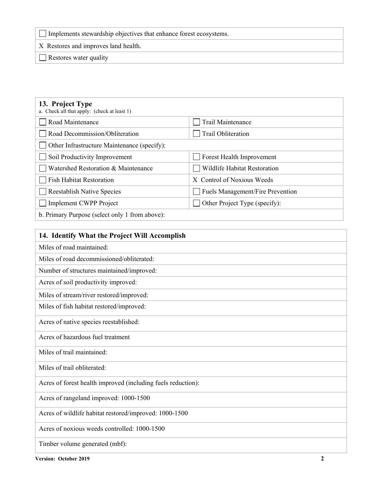Implements stewardship objectives that enhance forest ecosystems.

X Restores and improves land health.

Restores water quality

| 13. Project Type<br>a. Check all that apply: (check at least 1) |                                                           |
|-----------------------------------------------------------------|-----------------------------------------------------------|
| Road Maintenance                                                | Trail Maintenance                                         |
| Road Decommission/Obliteration                                  | Trail Obliteration                                        |
| Other Infrastructure Maintenance (specify):                     |                                                           |
| Soil Productivity Improvement                                   | Forest Health Improvement                                 |
| Watershed Restoration & Maintenance                             | <b>Wildlife Habitat Restoration</b>                       |
| <b>Fish Habitat Restoration</b>                                 | X Control of Noxious Weeds                                |
| <b>Reestablish Native Species</b>                               | Fuels Management/Fire Prevention                          |
| Implement CWPP Project                                          | Other Project Type (specify):<br>$\overline{\phantom{a}}$ |
| b. Primary Purpose (select only 1 from above):                  |                                                           |

| 14. Identify What the Project Will Accomplish                |
|--------------------------------------------------------------|
| Miles of road maintained:                                    |
| Miles of road decommissioned/obliterated:                    |
| Number of structures maintained/improved:                    |
| Acres of soil productivity improved:                         |
| Miles of stream/river restored/improved:                     |
| Miles of fish habitat restored/improved:                     |
| Acres of native species reestablished:                       |
| Acres of hazardous fuel treatment                            |
| Miles of trail maintained:                                   |
| Miles of trail obliterated:                                  |
| Acres of forest health improved (including fuels reduction): |
| Acres of rangeland improved: 1000-1500                       |
| Acres of wildlife habitat restored/improved: 1000-1500       |
| Acres of noxious weeds controlled: 1000-1500                 |
| Timber volume generated (mbf):                               |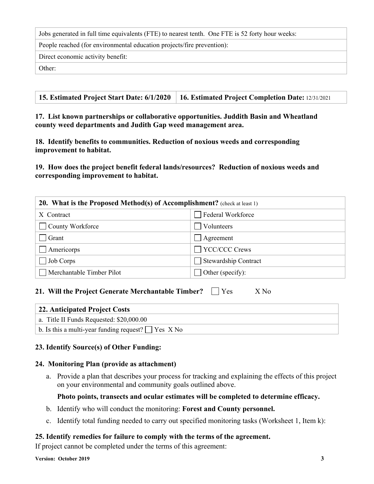Jobs generated in full time equivalents (FTE) to nearest tenth. One FTE is 52 forty hour weeks:

People reached (for environmental education projects/fire prevention):

Direct economic activity benefit:

Other:

**17. List known partnerships or collaborative opportunities. Juddith Basin and Wheatland county weed departments and Judith Gap weed management area.**

**18. Identify benefits to communities. Reduction of noxious weeds and corresponding improvement to habitat.**

**19. How does the project benefit federal lands/resources? Reduction of noxious weeds and corresponding improvement to habitat.**

| 20. What is the Proposed Method(s) of Accomplishment? (check at least 1) |                      |  |  |
|--------------------------------------------------------------------------|----------------------|--|--|
| X Contract                                                               | Federal Workforce    |  |  |
| County Workforce                                                         | $\Box$ Volunteers    |  |  |
| Grant                                                                    | Agreement            |  |  |
| Americorps                                                               | TYCC/CCC Crews       |  |  |
| Job Corps                                                                | Stewardship Contract |  |  |
| Merchantable Timber Pilot                                                | Other (specify):     |  |  |

### **21. Will the Project Generate Merchantable Timber?**  $\Box$  Yes X No

| 22. Anticipated Project Costs                            |
|----------------------------------------------------------|
| a. Title II Funds Requested: \$20,000.00                 |
| b. Is this a multi-year funding request? $\Box$ Yes X No |

### **23. Identify Source(s) of Other Funding:**

### **24. Monitoring Plan (provide as attachment)**

a. Provide a plan that describes your process for tracking and explaining the effects of this project on your environmental and community goals outlined above.

### **Photo points, transects and ocular estimates will be completed to determine efficacy.**

- b. Identify who will conduct the monitoring: **Forest and County personnel.**
- c. Identify total funding needed to carry out specified monitoring tasks (Worksheet 1, Item k):

### **25. Identify remedies for failure to comply with the terms of the agreement.**

If project cannot be completed under the terms of this agreement: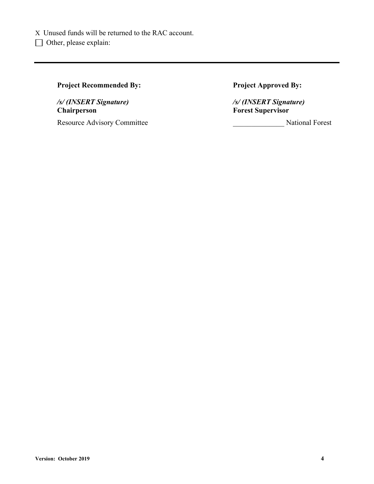# **Project Recommended By: Project Approved By:**

*/s/ (INSERT Signature) /s/ (INSERT Signature)* **Chairperson Forest Supervisor**

Resource Advisory Committee **Advice Advisory Committee National Forest** National Forest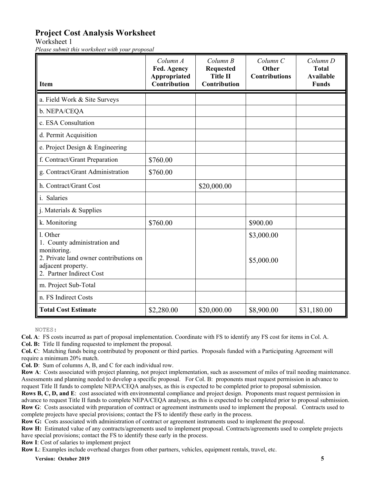# **Project Cost Analysis Worksheet**

Worksheet 1

*Please submit this worksheet with your proposal*

| <b>Item</b>                                                                                                                                         | Column A<br>Fed. Agency<br>Appropriated<br>Contribution | Column B<br><b>Requested</b><br><b>Title II</b><br><b>Contribution</b> | Column C<br>Other<br><b>Contributions</b> | Column D<br><b>Total</b><br><b>Available</b><br><b>Funds</b> |
|-----------------------------------------------------------------------------------------------------------------------------------------------------|---------------------------------------------------------|------------------------------------------------------------------------|-------------------------------------------|--------------------------------------------------------------|
| a. Field Work & Site Surveys                                                                                                                        |                                                         |                                                                        |                                           |                                                              |
| b. NEPA/CEQA                                                                                                                                        |                                                         |                                                                        |                                           |                                                              |
| c. ESA Consultation                                                                                                                                 |                                                         |                                                                        |                                           |                                                              |
| d. Permit Acquisition                                                                                                                               |                                                         |                                                                        |                                           |                                                              |
| e. Project Design & Engineering                                                                                                                     |                                                         |                                                                        |                                           |                                                              |
| f. Contract/Grant Preparation                                                                                                                       | \$760.00                                                |                                                                        |                                           |                                                              |
| g. Contract/Grant Administration                                                                                                                    | \$760.00                                                |                                                                        |                                           |                                                              |
| h. Contract/Grant Cost                                                                                                                              |                                                         | \$20,000.00                                                            |                                           |                                                              |
| i. Salaries                                                                                                                                         |                                                         |                                                                        |                                           |                                                              |
| j. Materials & Supplies                                                                                                                             |                                                         |                                                                        |                                           |                                                              |
| k. Monitoring                                                                                                                                       | \$760.00                                                |                                                                        | \$900.00                                  |                                                              |
| l. Other<br>1. County administration and<br>monitoring.<br>2. Private land owner contributions on<br>adjacent property.<br>2. Partner Indirect Cost |                                                         |                                                                        | \$3,000.00<br>\$5,000.00                  |                                                              |
| m. Project Sub-Total                                                                                                                                |                                                         |                                                                        |                                           |                                                              |
| n. FS Indirect Costs                                                                                                                                |                                                         |                                                                        |                                           |                                                              |
| <b>Total Cost Estimate</b>                                                                                                                          | \$2,280.00                                              | \$20,000.00                                                            | \$8,900.00                                | \$31,180.00                                                  |

NOTES:

**Col. A**: FS costs incurred as part of proposal implementation. Coordinate with FS to identify any FS cost for items in Col. A.

**Col. B:** Title II funding requested to implement the proposal.

**Col. C**: Matching funds being contributed by proponent or third parties. Proposals funded with a Participating Agreement will require a minimum 20% match.

**Col. D**: Sum of columns A, B, and C for each individual row.

**Row A**: Costs associated with project planning, not project implementation, such as assessment of miles of trail needing maintenance. Assessments and planning needed to develop a specific proposal. For Col. B: proponents must request permission in advance to request Title II funds to complete NEPA/CEQA analyses, as this is expected to be completed prior to proposal submission.

**Rows B, C, D, and E**: cost associated with environmental compliance and project design. Proponents must request permission in advance to request Title II funds to complete NEPA/CEQA analyses, as this is expected to be completed prior to proposal submission. **Row G**: Costs associated with preparation of contract or agreement instruments used to implement the proposal. Contracts used to complete projects have special provisions; contact the FS to identify these early in the process.

**Row G:** Costs associated with administration of contract or agreement instruments used to implement the proposal.

**Row H:** Estimated value of any contracts/agreements used to implement proposal. Contracts/agreements used to complete projects have special provisions; contact the FS to identify these early in the process.

**Row I**: Cost of salaries to implement project

**Row L**: Examples include overhead charges from other partners, vehicles, equipment rentals, travel, etc.

**Version: October 2019 5**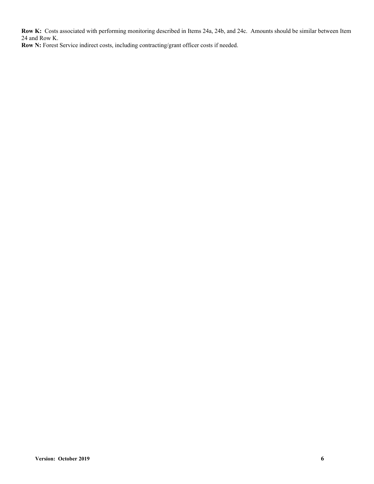**Row K:** Costs associated with performing monitoring described in Items 24a, 24b, and 24c. Amounts should be similar between Item 24 and Row K.

**Row N:** Forest Service indirect costs, including contracting/grant officer costs if needed.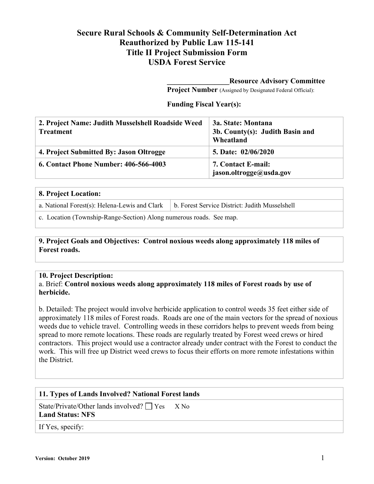# **Secure Rural Schools & Community Self-Determination Act Reauthorized by Public Law 115-141 Title II Project Submission Form USDA Forest Service**

#### **\_\_\_\_\_\_\_\_\_\_\_\_\_\_\_\_\_Resource Advisory Committee**

**Project Number** (Assigned by Designated Federal Official):

#### **Funding Fiscal Year(s):**

| 2. Project Name: Judith Musselshell Roadside Weed<br><b>Treatment</b> | 3a. State: Montana<br>3b. County(s): Judith Basin and<br>Wheatland |
|-----------------------------------------------------------------------|--------------------------------------------------------------------|
| 4. Project Submitted By: Jason Oltrogge                               | 5. Date: 02/06/2020                                                |
| 6. Contact Phone Number: 406-566-4003                                 | 7. Contact E-mail:<br>jason.oltrogge@usda.gov                      |

# **8. Project Location:**

a. National Forest(s): Helena-Lewis and Clark  $\mid b$ . Forest Service District: Judith Musselshell

c. Location (Township-Range-Section) Along numerous roads. See map.

## **9. Project Goals and Objectives: Control noxious weeds along approximately 118 miles of Forest roads.**

### **10. Project Description:**

### a. Brief: **Control noxious weeds along approximately 118 miles of Forest roads by use of herbicide.**

b. Detailed: The project would involve herbicide application to control weeds 35 feet either side of approximately 118 miles of Forest roads. Roads are one of the main vectors for the spread of noxious weeds due to vehicle travel. Controlling weeds in these corridors helps to prevent weeds from being spread to more remote locations. These roads are regularly treated by Forest weed crews or hired contractors. This project would use a contractor already under contract with the Forest to conduct the work. This will free up District weed crews to focus their efforts on more remote infestations within the District.

# **11. Types of Lands Involved? National Forest lands**

State/Private/Other lands involved?  $\Box$  Yes X No **Land Status: NFS**

If Yes, specify: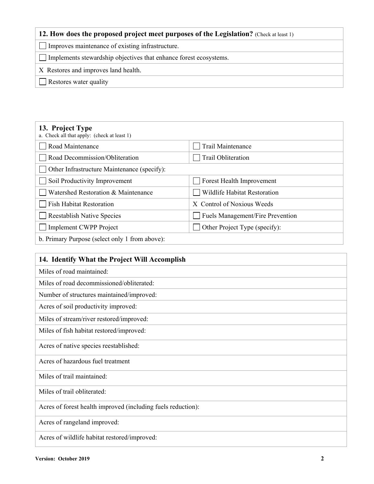# **12. How does the proposed project meet purposes of the Legislation?** (Check at least 1)

Improves maintenance of existing infrastructure.

Implements stewardship objectives that enhance forest ecosystems.

X Restores and improves land health.

Restores water quality

| 13. Project Type<br>a. Check all that apply: (check at least 1) |                                         |
|-----------------------------------------------------------------|-----------------------------------------|
| Road Maintenance                                                | Trail Maintenance                       |
| Road Decommission/Obliteration                                  | Trail Obliteration                      |
| Other Infrastructure Maintenance (specify):                     |                                         |
| Soil Productivity Improvement                                   | Forest Health Improvement               |
| Watershed Restoration & Maintenance                             | Wildlife Habitat Restoration            |
| <b>Fish Habitat Restoration</b>                                 | X Control of Noxious Weeds              |
| <b>Reestablish Native Species</b>                               | <b>Fuels Management/Fire Prevention</b> |
| <b>Implement CWPP Project</b>                                   | Other Project Type (specify):           |
| b. Primary Purpose (select only 1 from above):                  |                                         |

| 14. Identify What the Project Will Accomplish                |
|--------------------------------------------------------------|
| Miles of road maintained:                                    |
| Miles of road decommissioned/obliterated:                    |
| Number of structures maintained/improved:                    |
| Acres of soil productivity improved:                         |
| Miles of stream/river restored/improved:                     |
| Miles of fish habitat restored/improved:                     |
| Acres of native species reestablished:                       |
| Acres of hazardous fuel treatment                            |
| Miles of trail maintained:                                   |
| Miles of trail obliterated:                                  |
| Acres of forest health improved (including fuels reduction): |
| Acres of rangeland improved:                                 |
| Acres of wildlife habitat restored/improved:                 |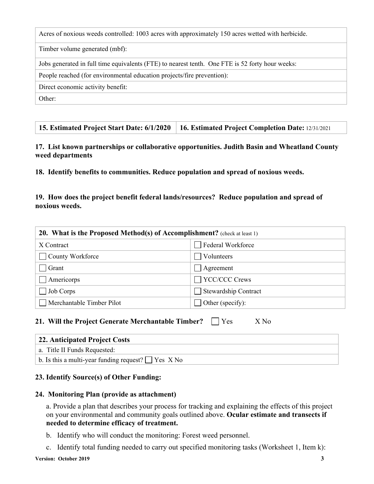|  | Acres of noxious weeds controlled: 1003 acres with approximately 150 acres wetted with herbicide. |
|--|---------------------------------------------------------------------------------------------------|
|  |                                                                                                   |

Timber volume generated (mbf):

Jobs generated in full time equivalents (FTE) to nearest tenth. One FTE is 52 forty hour weeks:

People reached (for environmental education projects/fire prevention):

Direct economic activity benefit:

Other:

## **17. List known partnerships or collaborative opportunities. Judith Basin and Wheatland County weed departments**

**18. Identify benefits to communities. Reduce population and spread of noxious weeds.**

# **19. How does the project benefit federal lands/resources? Reduce population and spread of noxious weeds.**

| 20. What is the Proposed Method(s) of Accomplishment? (check at least 1) |                             |  |  |
|--------------------------------------------------------------------------|-----------------------------|--|--|
| X Contract                                                               | Federal Workforce           |  |  |
| County Workforce                                                         | Volunteers                  |  |  |
| Grant                                                                    | Agreement                   |  |  |
| Americorps                                                               | YCC/CCC Crews               |  |  |
| Job Corps                                                                | <b>Stewardship Contract</b> |  |  |
| Merchantable Timber Pilot                                                | Other (specify):            |  |  |

# **21. Will the Project Generate Merchantable Timber?**  $\Box$  Yes X No

| 22. Anticipated Project Costs                            |
|----------------------------------------------------------|
| a. Title II Funds Requested:                             |
| b. Is this a multi-year funding request? $\Box$ Yes X No |

# **23. Identify Source(s) of Other Funding:**

# **24. Monitoring Plan (provide as attachment)**

a. Provide a plan that describes your process for tracking and explaining the effects of this project on your environmental and community goals outlined above. **Ocular estimate and transects if needed to determine efficacy of treatment.** 

- b. Identify who will conduct the monitoring: Forest weed personnel.
- c. Identify total funding needed to carry out specified monitoring tasks (Worksheet 1, Item k):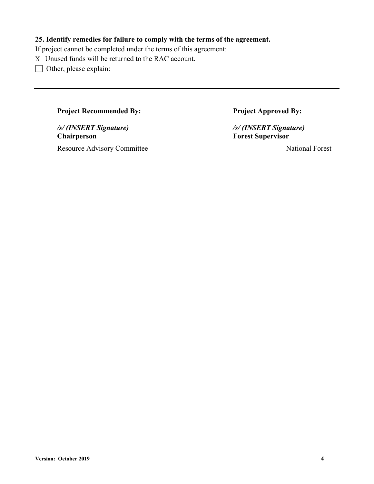# **25. Identify remedies for failure to comply with the terms of the agreement.**

If project cannot be completed under the terms of this agreement:

X Unused funds will be returned to the RAC account.

□ Other, please explain:

# **Project Recommended By: Project Approved By:**

*/s/ (INSERT Signature) /s/ (INSERT Signature)* **Chairperson Forest Supervisor** Resource Advisory Committee **National Forest** National Forest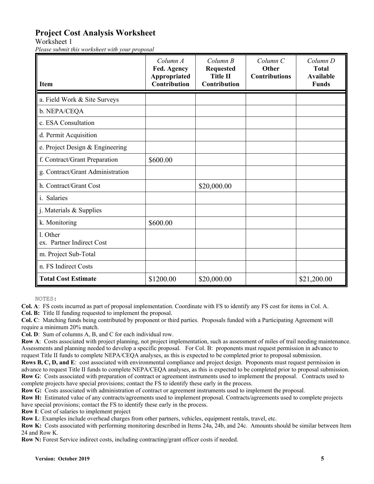# **Project Cost Analysis Worksheet**

Worksheet 1

*Please submit this worksheet with your proposal*

| <b>Item</b>                           | Column A<br>Fed. Agency<br>Appropriated<br><b>Contribution</b> | Column B<br><b>Requested</b><br><b>Title II</b><br><b>Contribution</b> | Column <sub>C</sub><br>Other<br><b>Contributions</b> | Column D<br><b>Total</b><br><b>Available</b><br><b>Funds</b> |
|---------------------------------------|----------------------------------------------------------------|------------------------------------------------------------------------|------------------------------------------------------|--------------------------------------------------------------|
| a. Field Work & Site Surveys          |                                                                |                                                                        |                                                      |                                                              |
| b. NEPA/CEQA                          |                                                                |                                                                        |                                                      |                                                              |
| c. ESA Consultation                   |                                                                |                                                                        |                                                      |                                                              |
| d. Permit Acquisition                 |                                                                |                                                                        |                                                      |                                                              |
| e. Project Design & Engineering       |                                                                |                                                                        |                                                      |                                                              |
| f. Contract/Grant Preparation         | \$600.00                                                       |                                                                        |                                                      |                                                              |
| g. Contract/Grant Administration      |                                                                |                                                                        |                                                      |                                                              |
| h. Contract/Grant Cost                |                                                                | \$20,000.00                                                            |                                                      |                                                              |
| i. Salaries                           |                                                                |                                                                        |                                                      |                                                              |
| j. Materials & Supplies               |                                                                |                                                                        |                                                      |                                                              |
| k. Monitoring                         | \$600.00                                                       |                                                                        |                                                      |                                                              |
| 1. Other<br>ex. Partner Indirect Cost |                                                                |                                                                        |                                                      |                                                              |
| m. Project Sub-Total                  |                                                                |                                                                        |                                                      |                                                              |
| n. FS Indirect Costs                  |                                                                |                                                                        |                                                      |                                                              |
| <b>Total Cost Estimate</b>            | \$1200.00                                                      | \$20,000.00                                                            |                                                      | \$21,200.00                                                  |

NOTES:

**Col. A**: FS costs incurred as part of proposal implementation. Coordinate with FS to identify any FS cost for items in Col. A.

**Col. B:** Title II funding requested to implement the proposal.

**Col. C**: Matching funds being contributed by proponent or third parties. Proposals funded with a Participating Agreement will require a minimum 20% match.

**Col. D**: Sum of columns A, B, and C for each individual row.

**Row A**: Costs associated with project planning, not project implementation, such as assessment of miles of trail needing maintenance. Assessments and planning needed to develop a specific proposal. For Col. B: proponents must request permission in advance to request Title II funds to complete NEPA/CEQA analyses, as this is expected to be completed prior to proposal submission.

**Rows B, C, D, and E**: cost associated with environmental compliance and project design. Proponents must request permission in advance to request Title II funds to complete NEPA/CEQA analyses, as this is expected to be completed prior to proposal submission. **Row G**: Costs associated with preparation of contract or agreement instruments used to implement the proposal. Contracts used to complete projects have special provisions; contact the FS to identify these early in the process.

**Row G:** Costs associated with administration of contract or agreement instruments used to implement the proposal.

**Row H:** Estimated value of any contracts/agreements used to implement proposal. Contracts/agreements used to complete projects have special provisions; contact the FS to identify these early in the process.

**Row I**: Cost of salaries to implement project

**Row L**: Examples include overhead charges from other partners, vehicles, equipment rentals, travel, etc.

**Row K:** Costs associated with performing monitoring described in Items 24a, 24b, and 24c. Amounts should be similar between Item 24 and Row K.

**Row N:** Forest Service indirect costs, including contracting/grant officer costs if needed.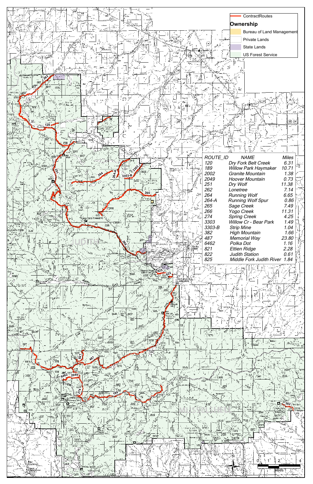